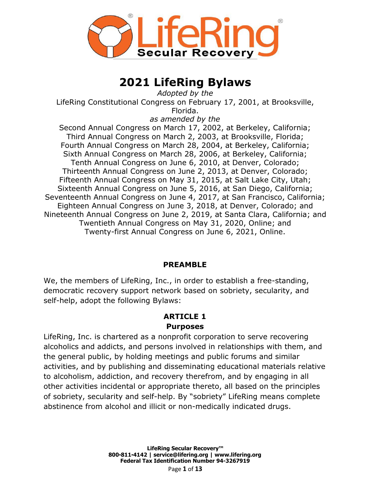

# **2021 LifeRing Bylaws**

*Adopted by the* LifeRing Constitutional Congress on February 17, 2001, at Brooksville, Florida.

*as amended by the*

Second Annual Congress on March 17, 2002, at Berkeley, California; Third Annual Congress on March 2, 2003, at Brooksville, Florida; Fourth Annual Congress on March 28, 2004, at Berkeley, California; Sixth Annual Congress on March 28, 2006, at Berkeley, California; Tenth Annual Congress on June 6, 2010, at Denver, Colorado; Thirteenth Annual Congress on June 2, 2013, at Denver, Colorado; Fifteenth Annual Congress on May 31, 2015, at Salt Lake City, Utah; Sixteenth Annual Congress on June 5, 2016, at San Diego, California; Seventeenth Annual Congress on June 4, 2017, at San Francisco, California; Eighteen Annual Congress on June 3, 2018, at Denver, Colorado; and Nineteenth Annual Congress on June 2, 2019, at Santa Clara, California; and Twentieth Annual Congress on May 31, 2020, Online; and Twenty-first Annual Congress on June 6, 2021, Online.

#### **PREAMBLE**

We, the members of LifeRing, Inc., in order to establish a free-standing, democratic recovery support network based on sobriety, secularity, and self-help, adopt the following Bylaws:

# **ARTICLE 1**

#### **Purposes**

LifeRing, Inc. is chartered as a nonprofit corporation to serve recovering alcoholics and addicts, and persons involved in relationships with them, and the general public, by holding meetings and public forums and similar activities, and by publishing and disseminating educational materials relative to alcoholism, addiction, and recovery therefrom, and by engaging in all other activities incidental or appropriate thereto, all based on the principles of sobriety, secularity and self-help. By "sobriety" LifeRing means complete abstinence from alcohol and illicit or non-medically indicated drugs.

> **LifeRing Secular Recovery™ 800▪811▪4142 | [service@lifering.org](mailto:service@lifering.org) | [www.lifering.org](http://www.lifering.org/) Federal Tax Identification Number 94-3267919** Page **1** of **13**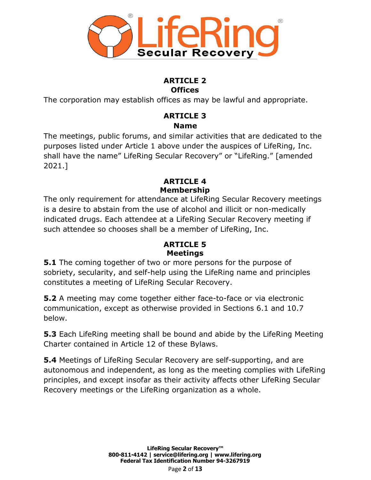

#### **ARTICLE 2 Offices**

The corporation may establish offices as may be lawful and appropriate.

## **ARTICLE 3 Name**

The meetings, public forums, and similar activities that are dedicated to the purposes listed under Article 1 above under the auspices of LifeRing, Inc. shall have the name" LifeRing Secular Recovery" or "LifeRing." [amended 2021.]

## **ARTICLE 4 Membership**

The only requirement for attendance at LifeRing Secular Recovery meetings is a desire to abstain from the use of alcohol and illicit or non-medically indicated drugs. Each attendee at a LifeRing Secular Recovery meeting if such attendee so chooses shall be a member of LifeRing, Inc.

#### **ARTICLE 5 Meetings**

**5.1** The coming together of two or more persons for the purpose of sobriety, secularity, and self-help using the LifeRing name and principles constitutes a meeting of LifeRing Secular Recovery.

**5.2** A meeting may come together either face-to-face or via electronic communication, except as otherwise provided in Sections 6.1 and 10.7 below.

**5.3** Each LifeRing meeting shall be bound and abide by the LifeRing Meeting Charter contained in Article 12 of these Bylaws.

**5.4** Meetings of LifeRing Secular Recovery are self-supporting, and are autonomous and independent, as long as the meeting complies with LifeRing principles, and except insofar as their activity affects other LifeRing Secular Recovery meetings or the LifeRing organization as a whole.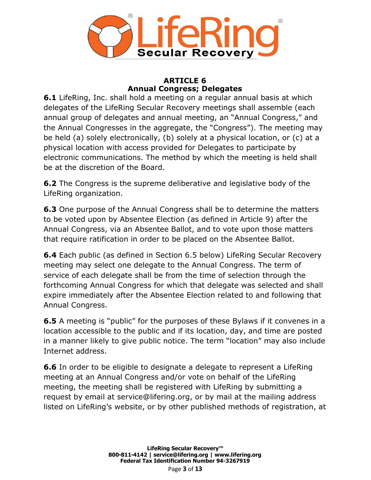

#### **ARTICLE 6 Annual Congress; Delegates**

**6.1** LifeRing, Inc. shall hold a meeting on a regular annual basis at which delegates of the LifeRing Secular Recovery meetings shall assemble (each annual group of delegates and annual meeting, an "Annual Congress," and the Annual Congresses in the aggregate, the "Congress"). The meeting may be held (a) solely electronically, (b) solely at a physical location, or (c) at a physical location with access provided for Delegates to participate by electronic communications. The method by which the meeting is held shall be at the discretion of the Board.

**6.2** The Congress is the supreme deliberative and legislative body of the LifeRing organization.

**6.3** One purpose of the Annual Congress shall be to determine the matters to be voted upon by Absentee Election (as defined in Article 9) after the Annual Congress, via an Absentee Ballot, and to vote upon those matters that require ratification in order to be placed on the Absentee Ballot.

**6.4** Each public (as defined in Section 6.5 below) LifeRing Secular Recovery meeting may select one delegate to the Annual Congress. The term of service of each delegate shall be from the time of selection through the forthcoming Annual Congress for which that delegate was selected and shall expire immediately after the Absentee Election related to and following that Annual Congress.

**6.5** A meeting is "public" for the purposes of these Bylaws if it convenes in a location accessible to the public and if its location, day, and time are posted in a manner likely to give public notice. The term "location" may also include Internet address.

**6.6** In order to be eligible to designate a delegate to represent a LifeRing meeting at an Annual Congress and/or vote on behalf of the LifeRing meeting, the meeting shall be registered with LifeRing by submitting a request by email at [service@lifering.org,](mailto:service@lifering.org) or by mail at the mailing address listed on LifeRing's website, or by other published methods of registration, at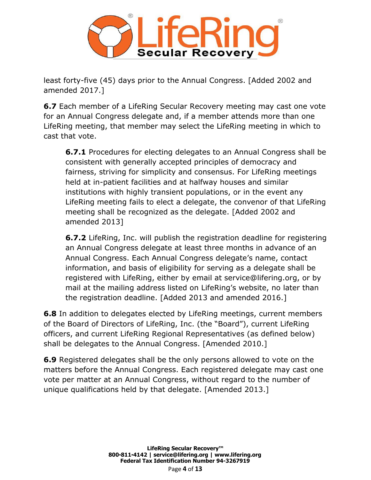

least forty-five (45) days prior to the Annual Congress. [Added 2002 and amended 2017.]

**6.7** Each member of a LifeRing Secular Recovery meeting may cast one vote for an Annual Congress delegate and, if a member attends more than one LifeRing meeting, that member may select the LifeRing meeting in which to cast that vote.

**6.7.1** Procedures for electing delegates to an Annual Congress shall be consistent with generally accepted principles of democracy and fairness, striving for simplicity and consensus. For LifeRing meetings held at in-patient facilities and at halfway houses and similar institutions with highly transient populations, or in the event any LifeRing meeting fails to elect a delegate, the convenor of that LifeRing meeting shall be recognized as the delegate. [Added 2002 and amended 2013]

**6.7.2** LifeRing, Inc. will publish the registration deadline for registering an Annual Congress delegate at least three months in advance of an Annual Congress. Each Annual Congress delegate's name, contact information, and basis of eligibility for serving as a delegate shall be registered with LifeRing, either by email at [service@lifering.org,](mailto:service@lifering.org) or by mail at the mailing address listed on LifeRing's website, no later than the registration deadline. [Added 2013 and amended 2016.]

**6.8** In addition to delegates elected by LifeRing meetings, current members of the Board of Directors of LifeRing, Inc. (the "Board"), current LifeRing officers, and current LifeRing Regional Representatives (as defined below) shall be delegates to the Annual Congress. [Amended 2010.]

**6.9** Registered delegates shall be the only persons allowed to vote on the matters before the Annual Congress. Each registered delegate may cast one vote per matter at an Annual Congress, without regard to the number of unique qualifications held by that delegate. [Amended 2013.]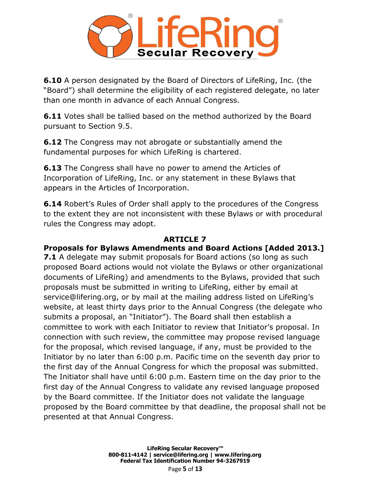

**6.10** A person designated by the Board of Directors of LifeRing, Inc. (the "Board") shall determine the eligibility of each registered delegate, no later than one month in advance of each Annual Congress.

**6.11** Votes shall be tallied based on the method authorized by the Board pursuant to Section 9.5.

**6.12** The Congress may not abrogate or substantially amend the fundamental purposes for which LifeRing is chartered.

**6.13** The Congress shall have no power to amend the Articles of Incorporation of LifeRing, Inc. or any statement in these Bylaws that appears in the Articles of Incorporation.

**6.14** Robert's Rules of Order shall apply to the procedures of the Congress to the extent they are not inconsistent with these Bylaws or with procedural rules the Congress may adopt.

#### **ARTICLE 7**

#### **Proposals for Bylaws Amendments and Board Actions [Added 2013.]**

**7.1** A delegate may submit proposals for Board actions (so long as such proposed Board actions would not violate the Bylaws or other organizational documents of LifeRing) and amendments to the Bylaws, provided that such proposals must be submitted in writing to LifeRing, either by email at [service@lifering.org,](mailto:service@lifering.org) or by mail at the mailing address listed on LifeRing's website, at least thirty days prior to the Annual Congress (the delegate who submits a proposal, an "Initiator"). The Board shall then establish a committee to work with each Initiator to review that Initiator's proposal. In connection with such review, the committee may propose revised language for the proposal, which revised language, if any, must be provided to the Initiator by no later than 6:00 p.m. Pacific time on the seventh day prior to the first day of the Annual Congress for which the proposal was submitted. The Initiator shall have until 6:00 p.m. Eastern time on the day prior to the first day of the Annual Congress to validate any revised language proposed by the Board committee. If the Initiator does not validate the language proposed by the Board committee by that deadline, the proposal shall not be presented at that Annual Congress.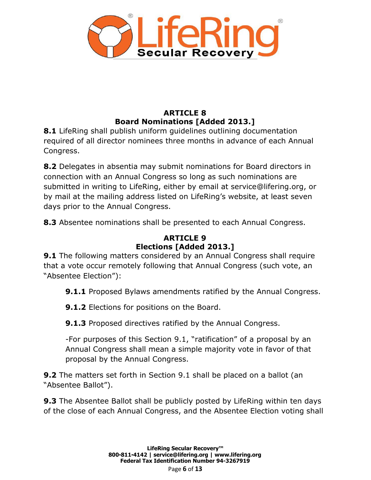

## **ARTICLE 8 Board Nominations [Added 2013.]**

**8.1** LifeRing shall publish uniform guidelines outlining documentation required of all director nominees three months in advance of each Annual Congress.

**8.2** Delegates in absentia may submit nominations for Board directors in connection with an Annual Congress so long as such nominations are submitted in writing to LifeRing, either by email at [service@lifering.org,](mailto:service@lifering.org) or by mail at the mailing address listed on LifeRing's website, at least seven days prior to the Annual Congress.

**8.3** Absentee nominations shall be presented to each Annual Congress.

## **ARTICLE 9 Elections [Added 2013.]**

**9.1** The following matters considered by an Annual Congress shall require that a vote occur remotely following that Annual Congress (such vote, an "Absentee Election"):

**9.1.1** Proposed Bylaws amendments ratified by the Annual Congress.

**9.1.2** Elections for positions on the Board.

**9.1.3** Proposed directives ratified by the Annual Congress.

-For purposes of this Section 9.1, "ratification" of a proposal by an Annual Congress shall mean a simple majority vote in favor of that proposal by the Annual Congress.

**9.2** The matters set forth in Section 9.1 shall be placed on a ballot (an "Absentee Ballot").

**9.3** The Absentee Ballot shall be publicly posted by LifeRing within ten days of the close of each Annual Congress, and the Absentee Election voting shall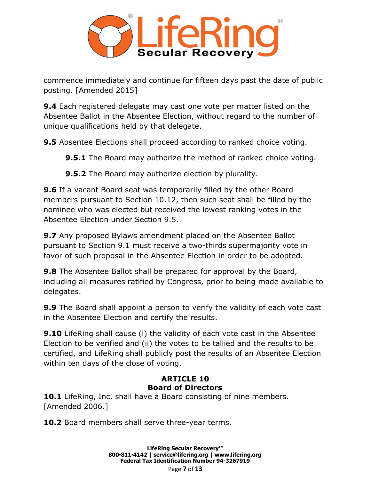

commence immediately and continue for fifteen days past the date of public posting. [Amended 2015]

**9.4** Each registered delegate may cast one vote per matter listed on the Absentee Ballot in the Absentee Election, without regard to the number of unique qualifications held by that delegate.

**9.5** Absentee Elections shall proceed according to ranked choice voting.

**9.5.1** The Board may authorize the method of ranked choice voting.

**9.5.2** The Board may authorize election by plurality.

**9.6** If a vacant Board seat was temporarily filled by the other Board members pursuant to Section 10.12, then such seat shall be filled by the nominee who was elected but received the lowest ranking votes in the Absentee Election under Section 9.5.

**9.7** Any proposed Bylaws amendment placed on the Absentee Ballot pursuant to Section 9.1 must receive a two-thirds supermajority vote in favor of such proposal in the Absentee Election in order to be adopted.

**9.8** The Absentee Ballot shall be prepared for approval by the Board, including all measures ratified by Congress, prior to being made available to delegates.

**9.9** The Board shall appoint a person to verify the validity of each vote cast in the Absentee Election and certify the results.

**9.10** LifeRing shall cause (i) the validity of each vote cast in the Absentee Election to be verified and (ii) the votes to be tallied and the results to be certified, and LifeRing shall publicly post the results of an Absentee Election within ten days of the close of voting.

### **ARTICLE 10 Board of Directors**

**10.1** LifeRing, Inc. shall have a Board consisting of nine members. [Amended 2006.]

**10.2** Board members shall serve three-year terms.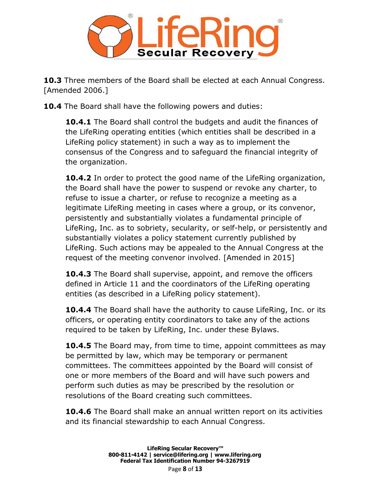

**10.3** Three members of the Board shall be elected at each Annual Congress. [Amended 2006.]

**10.4** The Board shall have the following powers and duties:

**10.4.1** The Board shall control the budgets and audit the finances of the LifeRing operating entities (which entities shall be described in a LifeRing policy statement) in such a way as to implement the consensus of the Congress and to safeguard the financial integrity of the organization.

**10.4.2** In order to protect the good name of the LifeRing organization, the Board shall have the power to suspend or revoke any charter, to refuse to issue a charter, or refuse to recognize a meeting as a legitimate LifeRing meeting in cases where a group, or its convenor, persistently and substantially violates a fundamental principle of LifeRing, Inc. as to sobriety, secularity, or self-help, or persistently and substantially violates a policy statement currently published by LifeRing. Such actions may be appealed to the Annual Congress at the request of the meeting convenor involved. [Amended in 2015]

**10.4.3** The Board shall supervise, appoint, and remove the officers defined in Article 11 and the coordinators of the LifeRing operating entities (as described in a LifeRing policy statement).

**10.4.4** The Board shall have the authority to cause LifeRing, Inc. or its officers, or operating entity coordinators to take any of the actions required to be taken by LifeRing, Inc. under these Bylaws.

**10.4.5** The Board may, from time to time, appoint committees as may be permitted by law, which may be temporary or permanent committees. The committees appointed by the Board will consist of one or more members of the Board and will have such powers and perform such duties as may be prescribed by the resolution or resolutions of the Board creating such committees.

**10.4.6** The Board shall make an annual written report on its activities and its financial stewardship to each Annual Congress.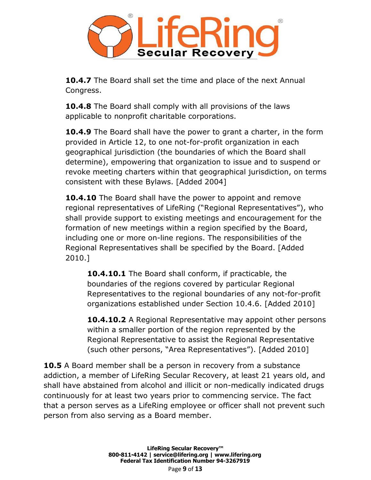

**10.4.7** The Board shall set the time and place of the next Annual Congress.

**10.4.8** The Board shall comply with all provisions of the laws applicable to nonprofit charitable corporations.

**10.4.9** The Board shall have the power to grant a charter, in the form provided in Article 12, to one not-for-profit organization in each geographical jurisdiction (the boundaries of which the Board shall determine), empowering that organization to issue and to suspend or revoke meeting charters within that geographical jurisdiction, on terms consistent with these Bylaws. [Added 2004]

**10.4.10** The Board shall have the power to appoint and remove regional representatives of LifeRing ("Regional Representatives"), who shall provide support to existing meetings and encouragement for the formation of new meetings within a region specified by the Board, including one or more on-line regions. The responsibilities of the Regional Representatives shall be specified by the Board. [Added 2010.]

**10.4.10.1** The Board shall conform, if practicable, the boundaries of the regions covered by particular Regional Representatives to the regional boundaries of any not-for-profit organizations established under Section 10.4.6. [Added 2010]

**10.4.10.2** A Regional Representative may appoint other persons within a smaller portion of the region represented by the Regional Representative to assist the Regional Representative (such other persons, "Area Representatives"). [Added 2010]

**10.5** A Board member shall be a person in recovery from a substance addiction, a member of LifeRing Secular Recovery, at least 21 years old, and shall have abstained from alcohol and illicit or non-medically indicated drugs continuously for at least two years prior to commencing service. The fact that a person serves as a LifeRing employee or officer shall not prevent such person from also serving as a Board member.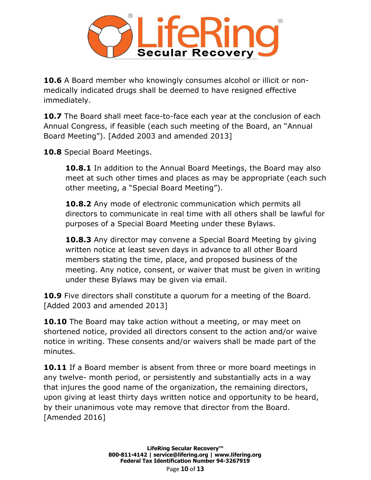

**10.6** A Board member who knowingly consumes alcohol or illicit or nonmedically indicated drugs shall be deemed to have resigned effective immediately.

**10.7** The Board shall meet face-to-face each year at the conclusion of each Annual Congress, if feasible (each such meeting of the Board, an "Annual Board Meeting"). [Added 2003 and amended 2013]

**10.8** Special Board Meetings.

**10.8.1** In addition to the Annual Board Meetings, the Board may also meet at such other times and places as may be appropriate (each such other meeting, a "Special Board Meeting").

**10.8.2** Any mode of electronic communication which permits all directors to communicate in real time with all others shall be lawful for purposes of a Special Board Meeting under these Bylaws.

**10.8.3** Any director may convene a Special Board Meeting by giving written notice at least seven days in advance to all other Board members stating the time, place, and proposed business of the meeting. Any notice, consent, or waiver that must be given in writing under these Bylaws may be given via email.

**10.9** Five directors shall constitute a quorum for a meeting of the Board. [Added 2003 and amended 2013]

**10.10** The Board may take action without a meeting, or may meet on shortened notice, provided all directors consent to the action and/or waive notice in writing. These consents and/or waivers shall be made part of the minutes.

**10.11** If a Board member is absent from three or more board meetings in any twelve- month period, or persistently and substantially acts in a way that injures the good name of the organization, the remaining directors, upon giving at least thirty days written notice and opportunity to be heard, by their unanimous vote may remove that director from the Board. [Amended 2016]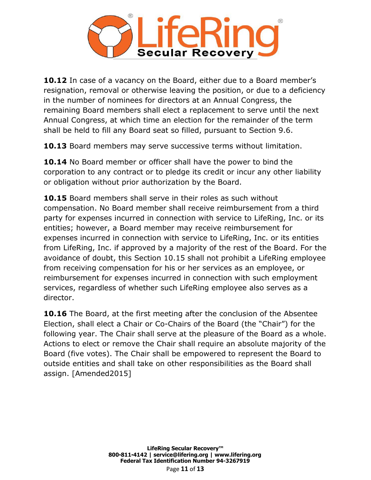

**10.12** In case of a vacancy on the Board, either due to a Board member's resignation, removal or otherwise leaving the position, or due to a deficiency in the number of nominees for directors at an Annual Congress, the remaining Board members shall elect a replacement to serve until the next Annual Congress, at which time an election for the remainder of the term shall be held to fill any Board seat so filled, pursuant to Section 9.6.

**10.13** Board members may serve successive terms without limitation.

**10.14** No Board member or officer shall have the power to bind the corporation to any contract or to pledge its credit or incur any other liability or obligation without prior authorization by the Board.

**10.15** Board members shall serve in their roles as such without compensation. No Board member shall receive reimbursement from a third party for expenses incurred in connection with service to LifeRing, Inc. or its entities; however, a Board member may receive reimbursement for expenses incurred in connection with service to LifeRing, Inc. or its entities from LifeRing, Inc. if approved by a majority of the rest of the Board. For the avoidance of doubt, this Section 10.15 shall not prohibit a LifeRing employee from receiving compensation for his or her services as an employee, or reimbursement for expenses incurred in connection with such employment services, regardless of whether such LifeRing employee also serves as a director.

**10.16** The Board, at the first meeting after the conclusion of the Absentee Election, shall elect a Chair or Co-Chairs of the Board (the "Chair") for the following year. The Chair shall serve at the pleasure of the Board as a whole. Actions to elect or remove the Chair shall require an absolute majority of the Board (five votes). The Chair shall be empowered to represent the Board to outside entities and shall take on other responsibilities as the Board shall assign. [Amended2015]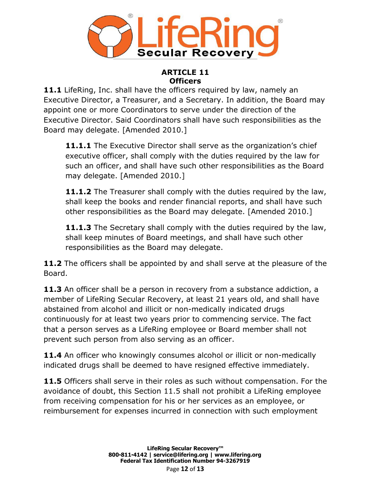

#### **ARTICLE 11 Officers**

**11.1** LifeRing, Inc. shall have the officers required by law, namely an Executive Director, a Treasurer, and a Secretary. In addition, the Board may appoint one or more Coordinators to serve under the direction of the Executive Director. Said Coordinators shall have such responsibilities as the Board may delegate. [Amended 2010.]

**11.1.1** The Executive Director shall serve as the organization's chief executive officer, shall comply with the duties required by the law for such an officer, and shall have such other responsibilities as the Board may delegate. [Amended 2010.]

**11.1.2** The Treasurer shall comply with the duties required by the law, shall keep the books and render financial reports, and shall have such other responsibilities as the Board may delegate. [Amended 2010.]

**11.1.3** The Secretary shall comply with the duties required by the law, shall keep minutes of Board meetings, and shall have such other responsibilities as the Board may delegate.

**11.2** The officers shall be appointed by and shall serve at the pleasure of the Board.

11.3 An officer shall be a person in recovery from a substance addiction, a member of LifeRing Secular Recovery, at least 21 years old, and shall have abstained from alcohol and illicit or non-medically indicated drugs continuously for at least two years prior to commencing service. The fact that a person serves as a LifeRing employee or Board member shall not prevent such person from also serving as an officer.

**11.4** An officer who knowingly consumes alcohol or illicit or non-medically indicated drugs shall be deemed to have resigned effective immediately.

**11.5** Officers shall serve in their roles as such without compensation. For the avoidance of doubt, this Section 11.5 shall not prohibit a LifeRing employee from receiving compensation for his or her services as an employee, or reimbursement for expenses incurred in connection with such employment